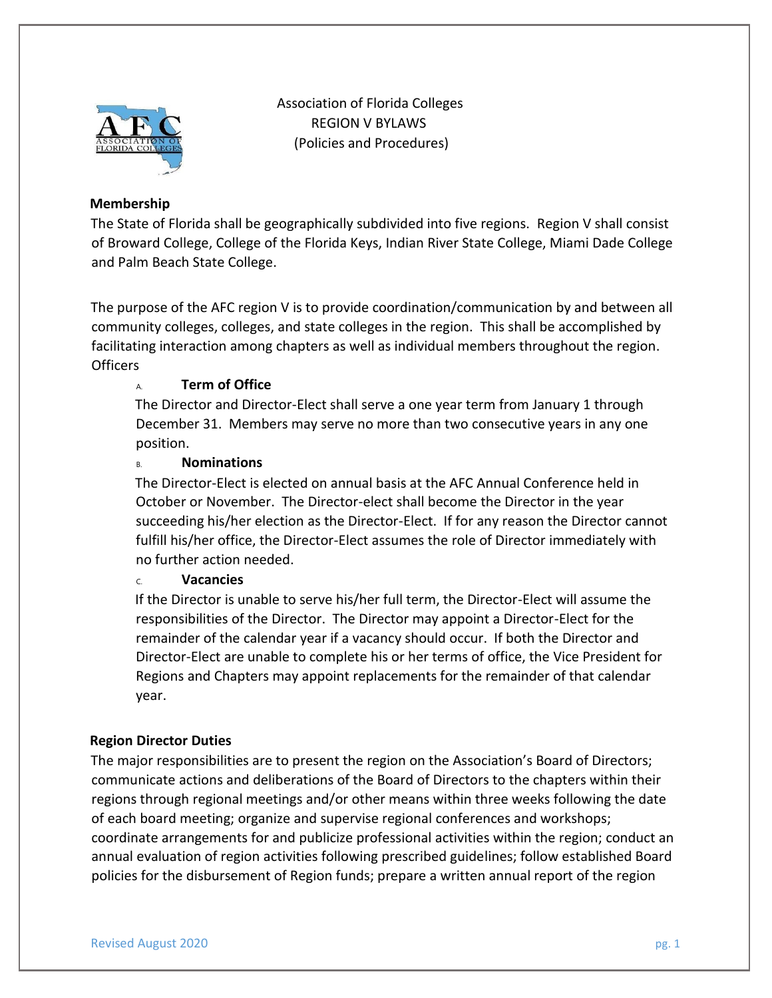

 Association of Florida Colleges REGION V BYLAWS (Policies and Procedures)

# **Membership**

The State of Florida shall be geographically subdivided into five regions. Region V shall consist of Broward College, College of the Florida Keys, Indian River State College, Miami Dade College and Palm Beach State College.

The purpose of the AFC region V is to provide coordination/communication by and between all community colleges, colleges, and state colleges in the region. This shall be accomplished by facilitating interaction among chapters as well as individual members throughout the region. **Officers** 

# A. **Term of Office**

The Director and Director-Elect shall serve a one year term from January 1 through December 31. Members may serve no more than two consecutive years in any one position.

# B. **Nominations**

The Director-Elect is elected on annual basis at the AFC Annual Conference held in October or November. The Director-elect shall become the Director in the year succeeding his/her election as the Director-Elect. If for any reason the Director cannot fulfill his/her office, the Director-Elect assumes the role of Director immediately with no further action needed.

# C. **Vacancies**

If the Director is unable to serve his/her full term, the Director-Elect will assume the responsibilities of the Director. The Director may appoint a Director-Elect for the remainder of the calendar year if a vacancy should occur. If both the Director and Director-Elect are unable to complete his or her terms of office, the Vice President for Regions and Chapters may appoint replacements for the remainder of that calendar year.

# **Region Director Duties**

The major responsibilities are to present the region on the Association's Board of Directors; communicate actions and deliberations of the Board of Directors to the chapters within their regions through regional meetings and/or other means within three weeks following the date of each board meeting; organize and supervise regional conferences and workshops; coordinate arrangements for and publicize professional activities within the region; conduct an annual evaluation of region activities following prescribed guidelines; follow established Board policies for the disbursement of Region funds; prepare a written annual report of the region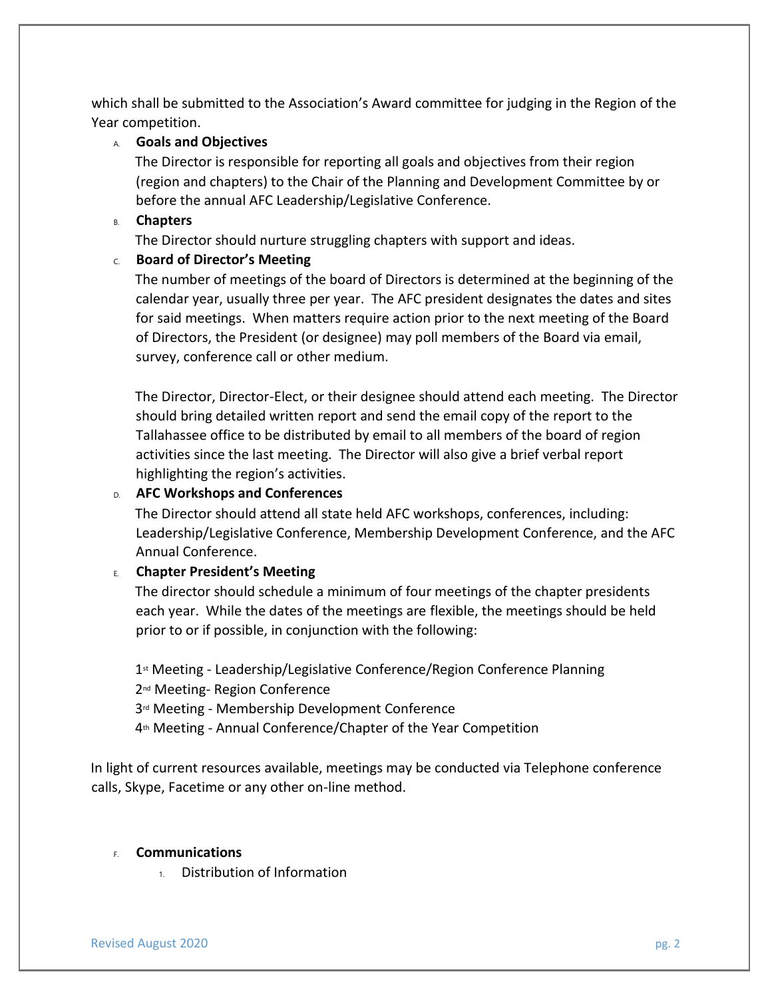which shall be submitted to the Association's Award committee for judging in the Region of the Year competition.

### A. **Goals and Objectives**

The Director is responsible for reporting all goals and objectives from their region (region and chapters) to the Chair of the Planning and Development Committee by or before the annual AFC Leadership/Legislative Conference.

#### B. **Chapters**

The Director should nurture struggling chapters with support and ideas.

### C. **Board of Director's Meeting**

The number of meetings of the board of Directors is determined at the beginning of the calendar year, usually three per year. The AFC president designates the dates and sites for said meetings. When matters require action prior to the next meeting of the Board of Directors, the President (or designee) may poll members of the Board via email, survey, conference call or other medium.

The Director, Director-Elect, or their designee should attend each meeting. The Director should bring detailed written report and send the email copy of the report to the Tallahassee office to be distributed by email to all members of the board of region activities since the last meeting. The Director will also give a brief verbal report highlighting the region's activities.

### D. **AFC Workshops and Conferences**

The Director should attend all state held AFC workshops, conferences, including: Leadership/Legislative Conference, Membership Development Conference, and the AFC Annual Conference.

## E. **Chapter President's Meeting**

The director should schedule a minimum of four meetings of the chapter presidents each year. While the dates of the meetings are flexible, the meetings should be held prior to or if possible, in conjunction with the following:

1st Meeting - Leadership/Legislative Conference/Region Conference Planning

2<sup>nd</sup> Meeting- Region Conference

3rd Meeting - Membership Development Conference

4th Meeting - Annual Conference/Chapter of the Year Competition

In light of current resources available, meetings may be conducted via Telephone conference calls, Skype, Facetime or any other on-line method.

### F. **Communications**

1. Distribution of Information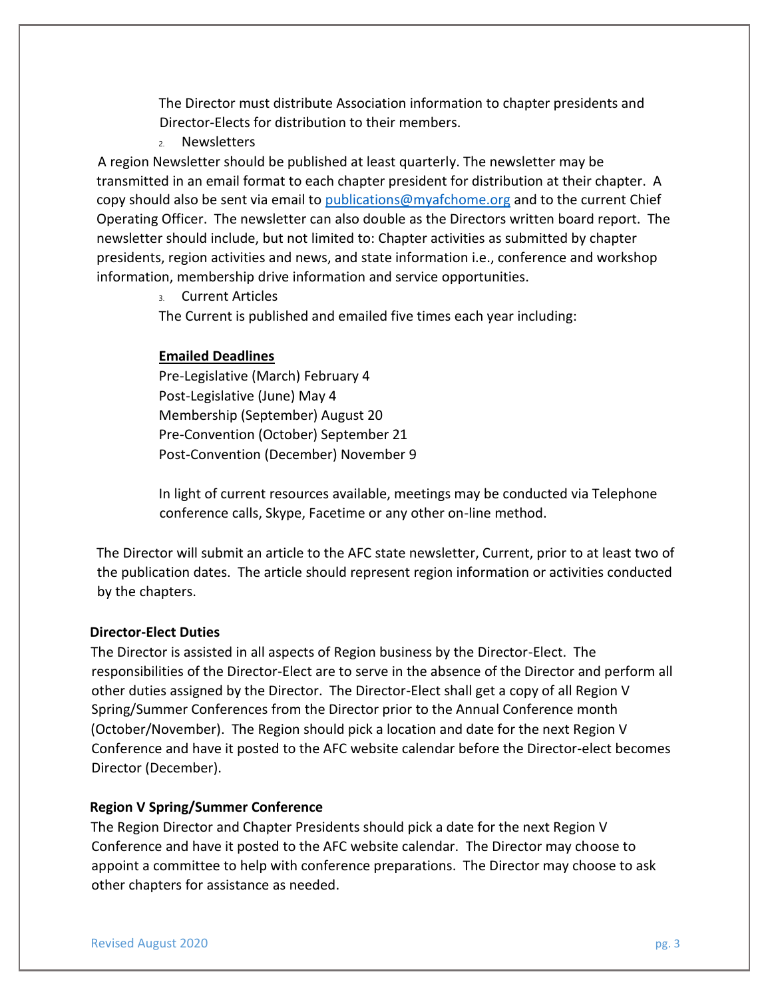The Director must distribute Association information to chapter presidents and Director-Elects for distribution to their members.

2. Newsletters

 A region Newsletter should be published at least quarterly. The newsletter may be transmitted in an email format to each chapter president for distribution at their chapter. A copy should also be sent via email to publications@myafchome.org and to the current Chief Operating Officer. The newsletter can also double as the Directors written board report. The newsletter should include, but not limited to: Chapter activities as submitted by chapter presidents, region activities and news, and state information i.e., conference and workshop information, membership drive information and service opportunities.

3. Current Articles

The Current is published and emailed five times each year including:

### **Emailed Deadlines**

Pre-Legislative (March) February 4 Post-Legislative (June) May 4 Membership (September) August 20 Pre-Convention (October) September 21 Post-Convention (December) November 9

In light of current resources available, meetings may be conducted via Telephone conference calls, Skype, Facetime or any other on-line method.

The Director will submit an article to the AFC state newsletter, Current, prior to at least two of the publication dates. The article should represent region information or activities conducted by the chapters.

#### **Director-Elect Duties**

The Director is assisted in all aspects of Region business by the Director-Elect. The responsibilities of the Director-Elect are to serve in the absence of the Director and perform all other duties assigned by the Director. The Director-Elect shall get a copy of all Region V Spring/Summer Conferences from the Director prior to the Annual Conference month (October/November). The Region should pick a location and date for the next Region V Conference and have it posted to the AFC website calendar before the Director-elect becomes Director (December).

#### **Region V Spring/Summer Conference**

The Region Director and Chapter Presidents should pick a date for the next Region V Conference and have it posted to the AFC website calendar. The Director may choose to appoint a committee to help with conference preparations. The Director may choose to ask other chapters for assistance as needed.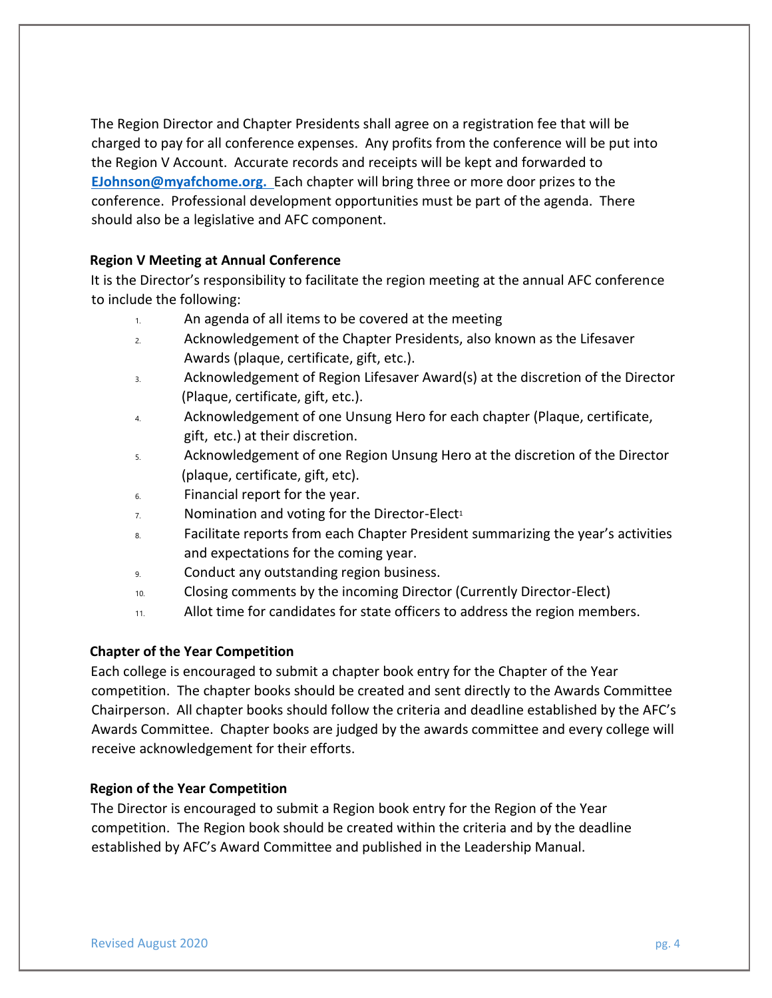The Region Director and Chapter Presidents shall agree on a registration fee that will be charged to pay for all conference expenses. Any profits from the conference will be put into the Region V Account. Accurate records and receipts will be kept and forwarded to **EJohnson@myafchome.org.** Each chapter will bring three or more door prizes to the conference. Professional development opportunities must be part of the agenda. There should also be a legislative and AFC component.

# **Region V Meeting at Annual Conference**

It is the Director's responsibility to facilitate the region meeting at the annual AFC conference to include the following:

- 1. An agenda of all items to be covered at the meeting
- 2. Acknowledgement of the Chapter Presidents, also known as the Lifesaver Awards (plaque, certificate, gift, etc.).
- 3. Acknowledgement of Region Lifesaver Award(s) at the discretion of the Director (Plaque, certificate, gift, etc.).
- 4. Acknowledgement of one Unsung Hero for each chapter (Plaque, certificate, gift, etc.) at their discretion.
- 5. Acknowledgement of one Region Unsung Hero at the discretion of the Director (plaque, certificate, gift, etc).
- 6. Financial report for the year.
- $7.$  Nomination and voting for the Director-Elect<sup>1</sup>
- 8. Facilitate reports from each Chapter President summarizing the year's activities and expectations for the coming year.
- 9. Conduct any outstanding region business.
- 10. Closing comments by the incoming Director (Currently Director-Elect)
- 11. Allot time for candidates for state officers to address the region members.

### **Chapter of the Year Competition**

Each college is encouraged to submit a chapter book entry for the Chapter of the Year competition. The chapter books should be created and sent directly to the Awards Committee Chairperson. All chapter books should follow the criteria and deadline established by the AFC's Awards Committee. Chapter books are judged by the awards committee and every college will receive acknowledgement for their efforts.

### **Region of the Year Competition**

The Director is encouraged to submit a Region book entry for the Region of the Year competition. The Region book should be created within the criteria and by the deadline established by AFC's Award Committee and published in the Leadership Manual.